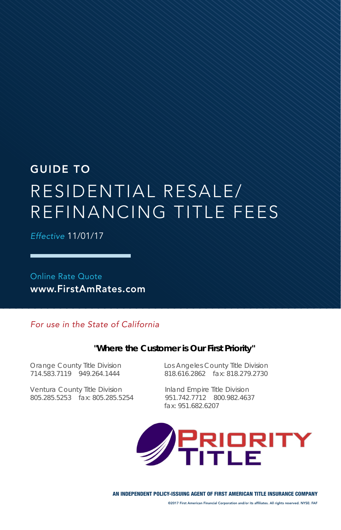# GUIDE TO RESIDENTIAL RESALE/ REFINANCING TITLE FEES

*Effective* 11/01/17

Online Rate Quote www.FirstAmRates.com

#### *For use in the State of California*

#### **"Where the Customer is Our First Priority"**

Ventura County Title Division Inland Empire Title Division 805.285.5253 fax: 805.285.5254 951.742.7712 800.982.4637

Orange County Title Division Los Angeles County Title Division 818.616.2862 fax: 818.279.2730

fax: 951.682.6207

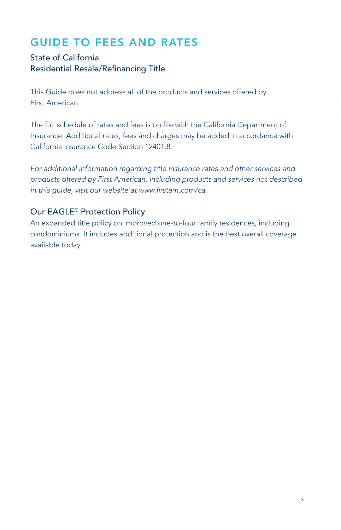# GUIDE TO FEES AND RATES

## State of California Residential Resale/Refinancing Title

This Guide does not address all of the products and services offered by First American.

The full schedule of rates and fees is on file with the California Department of Insurance. Additional rates, fees and charges may be added in accordance with California Insurance Code Section 12401.8.

*For additional information regarding title insurance rates and other services and products offered by First American, including products and services not described in this guide, visit our website at www.firstam.com/ca.*

### Our EAGLE® Protection Policy

An expanded title policy on improved one-to-four family residences, including condominiums. It includes additional protection and is the best overall coverage available today.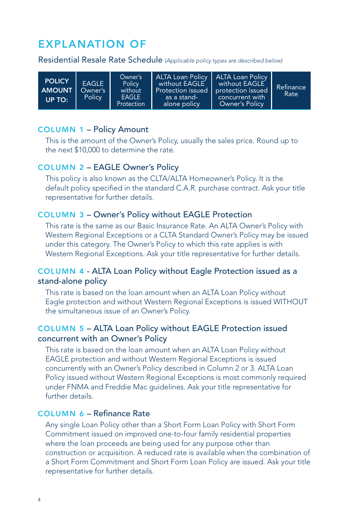## EXPLANATION OF

Residential Resale Rate Schedule *(Applicable policy types are described below)*

| <b>POLICY</b><br><b>AMOUNT</b><br>UP TO: | <b>EAGLE</b><br>Owner's<br><b>Policy</b> | Owner's<br>Policy<br>without<br><b>EAGLE</b><br>Protection | ALTA Loan Policy   ALTA Loan Policy<br>without EAGLE<br>Protection issued protection issued<br>as a stand-<br>alone policy | $\blacksquare$ without <code>EAGLE</code><br>concurrent with<br><b>Owner's Policy</b> | Refinance<br>Rate |
|------------------------------------------|------------------------------------------|------------------------------------------------------------|----------------------------------------------------------------------------------------------------------------------------|---------------------------------------------------------------------------------------|-------------------|
|------------------------------------------|------------------------------------------|------------------------------------------------------------|----------------------------------------------------------------------------------------------------------------------------|---------------------------------------------------------------------------------------|-------------------|

#### COLUMN 1 – Policy Amount

This is the amount of the Owner's Policy, usually the sales price. Round up to the next \$10,000 to determine the rate.

#### COLUMN 2 – EAGLE Owner's Policy

This policy is also known as the CLTA/ALTA Homeowner's Policy. It is the default policy specified in the standard C.A.R. purchase contract. Ask your title representative for further details.

#### COLUMN 3 – Owner's Policy without EAGLE Protection

This rate is the same as our Basic Insurance Rate. An ALTA Owner's Policy with Western Regional Exceptions or a CLTA Standard Owner's Policy may be issued under this category. The Owner's Policy to which this rate applies is with Western Regional Exceptions. Ask your title representative for further details.

#### COLUMN 4 - ALTA Loan Policy without Eagle Protection issued as a stand-alone policy

This rate is based on the loan amount when an ALTA Loan Policy without Eagle protection and without Western Regional Exceptions is issued WITHOUT the simultaneous issue of an Owner's Policy.

#### COLUMN 5 – ALTA Loan Policy without EAGLE Protection issued concurrent with an Owner's Policy

This rate is based on the loan amount when an ALTA Loan Policy without EAGLE protection and without Western Regional Exceptions is issued concurrently with an Owner's Policy described in Column 2 or 3. ALTA Loan Policy issued without Western Regional Exceptions is most commonly required under FNMA and Freddie Mac guidelines. Ask your title representative for further details.

#### COLUMN 6 – Refinance Rate

Any single Loan Policy other than a Short Form Loan Policy with Short Form Commitment issued on improved one-to-four family residential properties where the loan proceeds are being used for any purpose other than construction or acquisition. A reduced rate is available when the combination of a Short Form Commitment and Short Form Loan Policy are issued. Ask your title representative for further details.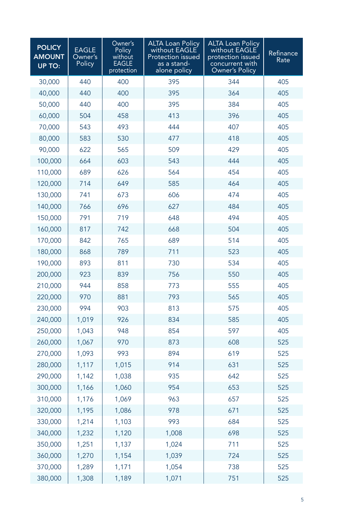| <b>POLICY</b><br><b>AMOUNT</b><br><b>UP TO:</b> | <b>EAGLE</b><br>Owner's<br>Policy | Owner's<br>Policy<br>without<br><b>EAGLE</b><br>protection | <b>ALTA Loan Policy</b><br>without EAGLE<br><b>Protection issued</b><br>as a stand-<br>alone policy | <b>ALTA Loan Policy</b><br>without EAGLE<br>protection issued<br>concurrent with<br>Owner's Policy | Refinance<br>Rate |
|-------------------------------------------------|-----------------------------------|------------------------------------------------------------|-----------------------------------------------------------------------------------------------------|----------------------------------------------------------------------------------------------------|-------------------|
| 30,000                                          | 440                               | 400                                                        | 395                                                                                                 | 344                                                                                                | 405               |
| 40,000                                          | 440                               | 400                                                        | 395                                                                                                 | 364                                                                                                | 405               |
| 50,000                                          | 440                               | 400                                                        | 395                                                                                                 | 384                                                                                                | 405               |
| 60,000                                          | 504                               | 458                                                        | 413                                                                                                 | 396                                                                                                | 405               |
| 70,000                                          | 543                               | 493                                                        | 444                                                                                                 | 407                                                                                                | 405               |
| 80,000                                          | 583                               | 530                                                        | 477                                                                                                 | 418                                                                                                | 405               |
| 90,000                                          | 622                               | 565                                                        | 509                                                                                                 | 429                                                                                                | 405               |
| 100,000                                         | 664                               | 603                                                        | 543                                                                                                 | 444                                                                                                | 405               |
| 110,000                                         | 689                               | 626                                                        | 564                                                                                                 | 454                                                                                                | 405               |
| 120,000                                         | 714                               | 649                                                        | 585                                                                                                 | 464                                                                                                | 405               |
| 130,000                                         | 741                               | 673                                                        | 606                                                                                                 | 474                                                                                                | 405               |
| 140,000                                         | 766                               | 696                                                        | 627                                                                                                 | 484                                                                                                | 405               |
| 150,000                                         | 791                               | 719                                                        | 648                                                                                                 | 494                                                                                                | 405               |
| 160,000                                         | 817                               | 742                                                        | 668                                                                                                 | 504                                                                                                | 405               |
| 170,000                                         | 842                               | 765                                                        | 689                                                                                                 | 514                                                                                                | 405               |
| 180,000                                         | 868                               | 789                                                        | 711                                                                                                 | 523                                                                                                | 405               |
| 190,000                                         | 893                               | 811                                                        | 730                                                                                                 | 534                                                                                                | 405               |
| 200,000                                         | 923                               | 839                                                        | 756                                                                                                 | 550                                                                                                | 405               |
| 210,000                                         | 944                               | 858                                                        | 773                                                                                                 | 555                                                                                                | 405               |
| 220,000                                         | 970                               | 881                                                        | 793                                                                                                 | 565                                                                                                | 405               |
| 230,000                                         | 994                               | 903                                                        | 813                                                                                                 | 575                                                                                                | 405               |
| 240,000                                         | 1,019                             | 926                                                        | 834                                                                                                 | 585                                                                                                | 405               |
| 250,000                                         | 1,043                             | 948                                                        | 854                                                                                                 | 597                                                                                                | 405               |
| 260,000                                         | 1,067                             | 970                                                        | 873                                                                                                 | 608                                                                                                | 525               |
| 270,000                                         | 1,093                             | 993                                                        | 894                                                                                                 | 619                                                                                                | 525               |
| 280,000                                         | 1,117                             | 1,015                                                      | 914                                                                                                 | 631                                                                                                | 525               |
| 290,000                                         | 1,142                             | 1,038                                                      | 935                                                                                                 | 642                                                                                                | 525               |
| 300,000                                         | 1,166                             | 1,060                                                      | 954                                                                                                 | 653                                                                                                | 525               |
| 310,000                                         | 1,176                             | 1,069                                                      | 963                                                                                                 | 657                                                                                                | 525               |
| 320,000                                         | 1,195                             | 1,086                                                      | 978                                                                                                 | 671                                                                                                | 525               |
| 330,000                                         | 1,214                             | 1,103                                                      | 993                                                                                                 | 684                                                                                                | 525               |
| 340,000                                         | 1,232                             | 1,120                                                      | 1,008                                                                                               | 698                                                                                                | 525               |
| 350,000                                         | 1,251                             | 1,137                                                      | 1,024                                                                                               | 711                                                                                                | 525               |
| 360,000                                         | 1,270                             | 1,154                                                      | 1,039                                                                                               | 724                                                                                                | 525               |
| 370,000                                         | 1,289                             | 1,171                                                      | 1,054                                                                                               | 738                                                                                                | 525               |
| 380,000                                         | 1,308                             | 1,189                                                      | 1,071                                                                                               | 751                                                                                                | 525               |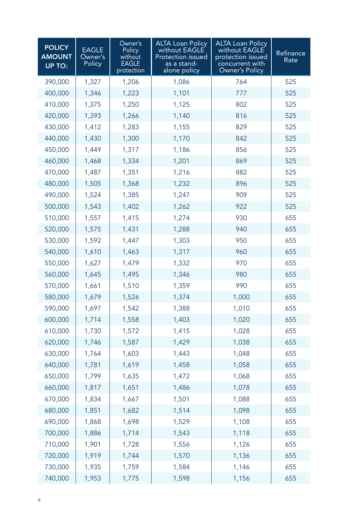| <b>POLICY</b><br><b>AMOUNT</b><br><b>UP TO:</b> | <b>EAGLE</b><br>Owner's<br>Policy | Owner's<br>Policy<br>without<br>EAGLE<br>protection | <b>ALTA Loan Policy</b><br>without EAGLE<br>Protection issued<br>as a stand-<br>alone policy | <b>ALTA Loan Policy</b><br>without EAGLE<br>protection issued<br>concurrent with<br><b>Owner's Policy</b> | Refinance<br>Rate |
|-------------------------------------------------|-----------------------------------|-----------------------------------------------------|----------------------------------------------------------------------------------------------|-----------------------------------------------------------------------------------------------------------|-------------------|
| 390,000                                         | 1,327                             | 1,206                                               | 1,086                                                                                        | 764                                                                                                       | 525               |
| 400,000                                         | 1,346                             | 1,223                                               | 1,101                                                                                        | 777                                                                                                       | 525               |
| 410,000                                         | 1,375                             | 1,250                                               | 1,125                                                                                        | 802                                                                                                       | 525               |
| 420,000                                         | 1,393                             | 1,266                                               | 1,140                                                                                        | 816                                                                                                       | 525               |
| 430,000                                         | 1,412                             | 1,283                                               | 1,155                                                                                        | 829                                                                                                       | 525               |
| 440,000                                         | 1,430                             | 1,300                                               | 1,170                                                                                        | 842                                                                                                       | 525               |
| 450,000                                         | 1,449                             | 1,317                                               | 1,186                                                                                        | 856                                                                                                       | 525               |
| 460,000                                         | 1,468                             | 1,334                                               | 1,201                                                                                        | 869                                                                                                       | 525               |
| 470,000                                         | 1,487                             | 1,351                                               | 1,216                                                                                        | 882                                                                                                       | 525               |
| 480,000                                         | 1,505                             | 1,368                                               | 1,232                                                                                        | 896                                                                                                       | 525               |
| 490,000                                         | 1,524                             | 1,385                                               | 1,247                                                                                        | 909                                                                                                       | 525               |
| 500,000                                         | 1,543                             | 1,402                                               | 1,262                                                                                        | 922                                                                                                       | 525               |
| 510,000                                         | 1,557                             | 1,415                                               | 1,274                                                                                        | 930                                                                                                       | 655               |
| 520,000                                         | 1,575                             | 1,431                                               | 1,288                                                                                        | 940                                                                                                       | 655               |
| 530,000                                         | 1,592                             | 1,447                                               | 1,303                                                                                        | 950                                                                                                       | 655               |
| 540,000                                         | 1,610                             | 1,463                                               | 1,317                                                                                        | 960                                                                                                       | 655               |
| 550,000                                         | 1,627                             | 1,479                                               | 1,332                                                                                        | 970                                                                                                       | 655               |
| 560,000                                         | 1,645                             | 1,495                                               | 1,346                                                                                        | 980                                                                                                       | 655               |
| 570,000                                         | 1,661                             | 1,510                                               | 1,359                                                                                        | 990                                                                                                       | 655               |
| 580,000                                         | 1,679                             | 1,526                                               | 1,374                                                                                        | 1,000                                                                                                     | 655               |
| 590,000                                         | 1,697                             | 1,542                                               | 1,388                                                                                        | 1,010                                                                                                     | 655               |
| 600,000                                         | 1,714                             | 1,558                                               | 1,403                                                                                        | 1,020                                                                                                     | 655               |
| 610,000                                         | 1,730                             | 1,572                                               | 1,415                                                                                        | 1,028                                                                                                     | 655               |
| 620,000                                         | 1,746                             | 1,587                                               | 1,429                                                                                        | 1,038                                                                                                     | 655               |
| 630,000                                         | 1,764                             | 1,603                                               | 1,443                                                                                        | 1,048                                                                                                     | 655               |
| 640,000                                         | 1,781                             | 1,619                                               | 1,458                                                                                        | 1,058                                                                                                     | 655               |
| 650,000                                         | 1,799                             | 1,635                                               | 1,472                                                                                        | 1,068                                                                                                     | 655               |
| 660,000                                         | 1,817                             | 1,651                                               | 1,486                                                                                        | 1,078                                                                                                     | 655               |
| 670,000                                         | 1,834                             | 1,667                                               | 1,501                                                                                        | 1,088                                                                                                     | 655               |
| 680,000                                         | 1,851                             | 1,682                                               | 1,514                                                                                        | 1,098                                                                                                     | 655               |
| 690,000                                         | 1,868                             | 1,698                                               | 1,529                                                                                        | 1,108                                                                                                     | 655               |
| 700,000                                         | 1,886                             | 1,714                                               | 1,543                                                                                        | 1,118                                                                                                     | 655               |
| 710,000                                         | 1,901                             | 1,728                                               | 1,556                                                                                        | 1,126                                                                                                     | 655               |
| 720,000                                         | 1,919                             | 1,744                                               | 1,570                                                                                        | 1,136                                                                                                     | 655               |
| 730,000                                         | 1,935                             | 1,759                                               | 1,584                                                                                        | 1,146                                                                                                     | 655               |
| 740,000                                         | 1,953                             | 1,775                                               | 1,598                                                                                        | 1,156                                                                                                     | 655               |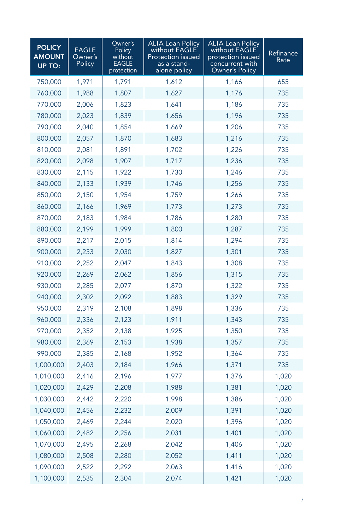| <b>POLICY</b><br><b>AMOUNT</b><br><b>UP TO:</b> | <b>EAGLE</b><br>Owner's<br>Policy | Owner's<br>Policy<br>without<br>EAGLE<br>protection | <b>ALTA Loan Policy</b><br>without EAGLE<br>Protection issued<br>as a stand-<br>alone policy | <b>ALTA Loan Policy</b><br>without EAGLE<br>protection issued<br>concurrent with<br>Owner's Policy | Refinance<br>Rate |
|-------------------------------------------------|-----------------------------------|-----------------------------------------------------|----------------------------------------------------------------------------------------------|----------------------------------------------------------------------------------------------------|-------------------|
| 750,000                                         | 1,971                             | 1,791                                               | 1,612                                                                                        | 1,166                                                                                              | 655               |
| 760,000                                         | 1,988                             | 1,807                                               | 1,627                                                                                        | 1,176                                                                                              | 735               |
| 770,000                                         | 2,006                             | 1,823                                               | 1,641                                                                                        | 1,186                                                                                              | 735               |
| 780,000                                         | 2,023                             | 1,839                                               | 1,656                                                                                        | 1,196                                                                                              | 735               |
| 790,000                                         | 2,040                             | 1,854                                               | 1,669                                                                                        | 1,206                                                                                              | 735               |
| 800,000                                         | 2,057                             | 1,870                                               | 1,683                                                                                        | 1,216                                                                                              | 735               |
| 810,000                                         | 2,081                             | 1,891                                               | 1,702                                                                                        | 1,226                                                                                              | 735               |
| 820,000                                         | 2,098                             | 1,907                                               | 1,717                                                                                        | 1,236                                                                                              | 735               |
| 830,000                                         | 2,115                             | 1,922                                               | 1,730                                                                                        | 1,246                                                                                              | 735               |
| 840,000                                         | 2,133                             | 1,939                                               | 1,746                                                                                        | 1,256                                                                                              | 735               |
| 850,000                                         | 2,150                             | 1,954                                               | 1,759                                                                                        | 1,266                                                                                              | 735               |
| 860,000                                         | 2,166                             | 1,969                                               | 1,773                                                                                        | 1,273                                                                                              | 735               |
| 870,000                                         | 2,183                             | 1,984                                               | 1,786                                                                                        | 1,280                                                                                              | 735               |
| 880,000                                         | 2,199                             | 1,999                                               | 1,800                                                                                        | 1,287                                                                                              | 735               |
| 890,000                                         | 2,217                             | 2,015                                               | 1,814                                                                                        | 1,294                                                                                              | 735               |
| 900,000                                         | 2,233                             | 2,030                                               | 1,827                                                                                        | 1,301                                                                                              | 735               |
| 910,000                                         | 2,252                             | 2,047                                               | 1,843                                                                                        | 1,308                                                                                              | 735               |
| 920,000                                         | 2,269                             | 2,062                                               | 1,856                                                                                        | 1,315                                                                                              | 735               |
| 930,000                                         | 2,285                             | 2,077                                               | 1,870                                                                                        | 1,322                                                                                              | 735               |
| 940,000                                         | 2,302                             | 2,092                                               | 1,883                                                                                        | 1,329                                                                                              | 735               |
| 950,000                                         | 2,319                             | 2,108                                               | 1,898                                                                                        | 1,336                                                                                              | 735               |
| 960,000                                         | 2,336                             | 2,123                                               | 1,911                                                                                        | 1,343                                                                                              | 735               |
| 970,000                                         | 2,352                             | 2,138                                               | 1,925                                                                                        | 1,350                                                                                              | 735               |
| 980,000                                         | 2,369                             | 2,153                                               | 1,938                                                                                        | 1,357                                                                                              | 735               |
| 990,000                                         | 2,385                             | 2,168                                               | 1,952                                                                                        | 1,364                                                                                              | 735               |
| 1,000,000                                       | 2,403                             | 2,184                                               | 1,966                                                                                        | 1,371                                                                                              | 735               |
| 1,010,000                                       | 2,416                             | 2,196                                               | 1,977                                                                                        | 1,376                                                                                              | 1,020             |
| 1,020,000                                       | 2,429                             | 2,208                                               | 1,988                                                                                        | 1,381                                                                                              | 1,020             |
| 1,030,000                                       | 2,442                             | 2,220                                               | 1,998                                                                                        | 1,386                                                                                              | 1,020             |
| 1,040,000                                       | 2,456                             | 2,232                                               | 2,009                                                                                        | 1,391                                                                                              | 1,020             |
| 1,050,000                                       | 2,469                             | 2,244                                               | 2,020                                                                                        | 1,396                                                                                              | 1,020             |
| 1,060,000                                       | 2,482                             | 2,256                                               | 2,031                                                                                        | 1,401                                                                                              | 1,020             |
| 1,070,000                                       | 2,495                             | 2,268                                               | 2,042                                                                                        | 1,406                                                                                              | 1,020             |
| 1,080,000                                       | 2,508                             | 2,280                                               | 2,052                                                                                        | 1,411                                                                                              | 1,020             |
| 1,090,000                                       | 2,522                             | 2,292                                               | 2,063                                                                                        | 1,416                                                                                              | 1,020             |
| 1,100,000                                       | 2,535                             | 2,304                                               | 2,074                                                                                        | 1,421                                                                                              | 1,020             |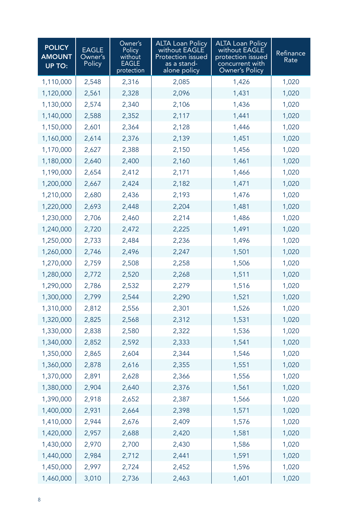| <b>POLICY</b><br><b>AMOUNT</b><br><b>UP TO:</b> | <b>EAGLE</b><br>Owner's<br>Policy | Owner's<br>Policy<br>without<br>EAGLE<br>protection | <b>ALTA Loan Policy</b><br>without EAGLE<br>Protection issued<br>as a stand-<br>alone policy | <b>ALTA Loan Policy</b><br>without EAGLE<br>protection issued<br>concurrent with<br>Owner's Policy | Refinance<br>Rate |
|-------------------------------------------------|-----------------------------------|-----------------------------------------------------|----------------------------------------------------------------------------------------------|----------------------------------------------------------------------------------------------------|-------------------|
| 1,110,000                                       | 2,548                             | 2,316                                               | 2,085                                                                                        | 1,426                                                                                              | 1,020             |
| 1,120,000                                       | 2,561                             | 2,328                                               | 2,096                                                                                        | 1,431                                                                                              | 1,020             |
| 1,130,000                                       | 2,574                             | 2,340                                               | 2,106                                                                                        | 1,436                                                                                              | 1,020             |
| 1,140,000                                       | 2,588                             | 2,352                                               | 2,117                                                                                        | 1,441                                                                                              | 1,020             |
| 1,150,000                                       | 2,601                             | 2,364                                               | 2,128                                                                                        | 1,446                                                                                              | 1,020             |
| 1,160,000                                       | 2,614                             | 2,376                                               | 2,139                                                                                        | 1,451                                                                                              | 1,020             |
| 1,170,000                                       | 2,627                             | 2,388                                               | 2,150                                                                                        | 1,456                                                                                              | 1,020             |
| 1,180,000                                       | 2,640                             | 2,400                                               | 2,160                                                                                        | 1,461                                                                                              | 1,020             |
| 1,190,000                                       | 2,654                             | 2,412                                               | 2,171                                                                                        | 1,466                                                                                              | 1,020             |
| 1,200,000                                       | 2,667                             | 2,424                                               | 2,182                                                                                        | 1,471                                                                                              | 1,020             |
| 1,210,000                                       | 2,680                             | 2,436                                               | 2,193                                                                                        | 1,476                                                                                              | 1,020             |
| 1,220,000                                       | 2,693                             | 2,448                                               | 2,204                                                                                        | 1,481                                                                                              | 1,020             |
| 1,230,000                                       | 2,706                             | 2,460                                               | 2,214                                                                                        | 1,486                                                                                              | 1,020             |
| 1,240,000                                       | 2,720                             | 2,472                                               | 2,225                                                                                        | 1,491                                                                                              | 1,020             |
| 1,250,000                                       | 2,733                             | 2,484                                               | 2,236                                                                                        | 1,496                                                                                              | 1,020             |
| 1,260,000                                       | 2,746                             | 2,496                                               | 2,247                                                                                        | 1,501                                                                                              | 1,020             |
| 1,270,000                                       | 2,759                             | 2,508                                               | 2,258                                                                                        | 1,506                                                                                              | 1,020             |
| 1,280,000                                       | 2,772                             | 2,520                                               | 2,268                                                                                        | 1,511                                                                                              | 1,020             |
| 1,290,000                                       | 2,786                             | 2,532                                               | 2,279                                                                                        | 1,516                                                                                              | 1,020             |
| 1,300,000                                       | 2,799                             | 2,544                                               | 2,290                                                                                        | 1,521                                                                                              | 1,020             |
| 1,310,000                                       | 2,812                             | 2,556                                               | 2,301                                                                                        | 1,526                                                                                              | 1,020             |
| 1,320,000                                       | 2,825                             | 2,568                                               | 2,312                                                                                        | 1,531                                                                                              | 1,020             |
| 1,330,000                                       | 2,838                             | 2,580                                               | 2,322                                                                                        | 1,536                                                                                              | 1,020             |
| 1,340,000                                       | 2,852                             | 2,592                                               | 2,333                                                                                        | 1,541                                                                                              | 1,020             |
| 1,350,000                                       | 2,865                             | 2,604                                               | 2,344                                                                                        | 1,546                                                                                              | 1,020             |
| 1,360,000                                       | 2,878                             | 2,616                                               | 2,355                                                                                        | 1,551                                                                                              | 1,020             |
| 1,370,000                                       | 2,891                             | 2,628                                               | 2,366                                                                                        | 1,556                                                                                              | 1,020             |
| 1,380,000                                       | 2,904                             | 2,640                                               | 2,376                                                                                        | 1,561                                                                                              | 1,020             |
| 1,390,000                                       | 2,918                             | 2,652                                               | 2,387                                                                                        | 1,566                                                                                              | 1,020             |
| 1,400,000                                       | 2,931                             | 2,664                                               | 2,398                                                                                        | 1,571                                                                                              | 1,020             |
| 1,410,000                                       | 2,944                             | 2,676                                               | 2,409                                                                                        | 1,576                                                                                              | 1,020             |
| 1,420,000                                       | 2,957                             | 2,688                                               | 2,420                                                                                        | 1,581                                                                                              | 1,020             |
| 1,430,000                                       | 2,970                             | 2,700                                               | 2,430                                                                                        | 1,586                                                                                              | 1,020             |
| 1,440,000                                       | 2,984                             | 2,712                                               | 2,441                                                                                        | 1,591                                                                                              | 1,020             |
| 1,450,000                                       | 2,997                             | 2,724                                               | 2,452                                                                                        | 1,596                                                                                              | 1,020             |
| 1,460,000                                       | 3,010                             | 2,736                                               | 2,463                                                                                        | 1,601                                                                                              | 1,020             |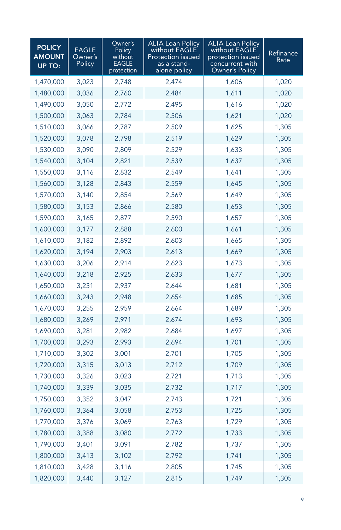| <b>POLICY</b><br><b>AMOUNT</b><br>UP TO: | <b>EAGLE</b><br>Owner's<br>Policy | Owner's<br>Policy<br>without<br>EAGLE<br>protection | <b>ALTA Loan Policy</b><br>without EAGLE<br>Protection issued<br>as a stand-<br>alone policy | <b>ALTA Loan Policy</b><br>without EAGLE<br>protection issued<br>concurrent with<br>Owner's Policy | Refinance<br>Rate |
|------------------------------------------|-----------------------------------|-----------------------------------------------------|----------------------------------------------------------------------------------------------|----------------------------------------------------------------------------------------------------|-------------------|
| 1,470,000                                | 3,023                             | 2,748                                               | 2,474                                                                                        | 1,606                                                                                              | 1,020             |
| 1,480,000                                | 3,036                             | 2,760                                               | 2,484                                                                                        | 1,611                                                                                              | 1,020             |
| 1,490,000                                | 3,050                             | 2,772                                               | 2,495                                                                                        | 1,616                                                                                              | 1,020             |
| 1,500,000                                | 3,063                             | 2,784                                               | 2,506                                                                                        | 1,621                                                                                              | 1,020             |
| 1,510,000                                | 3,066                             | 2,787                                               | 2,509                                                                                        | 1,625                                                                                              | 1,305             |
| 1,520,000                                | 3,078                             | 2,798                                               | 2,519                                                                                        | 1,629                                                                                              | 1,305             |
| 1,530,000                                | 3,090                             | 2,809                                               | 2,529                                                                                        | 1,633                                                                                              | 1,305             |
| 1,540,000                                | 3,104                             | 2,821                                               | 2,539                                                                                        | 1,637                                                                                              | 1,305             |
| 1,550,000                                | 3,116                             | 2,832                                               | 2,549                                                                                        | 1,641                                                                                              | 1,305             |
| 1,560,000                                | 3,128                             | 2,843                                               | 2,559                                                                                        | 1,645                                                                                              | 1,305             |
| 1,570,000                                | 3,140                             | 2,854                                               | 2,569                                                                                        | 1,649                                                                                              | 1,305             |
| 1,580,000                                | 3,153                             | 2,866                                               | 2,580                                                                                        | 1,653                                                                                              | 1,305             |
| 1,590,000                                | 3,165                             | 2,877                                               | 2,590                                                                                        | 1,657                                                                                              | 1,305             |
| 1,600,000                                | 3,177                             | 2,888                                               | 2,600                                                                                        | 1,661                                                                                              | 1,305             |
| 1,610,000                                | 3,182                             | 2,892                                               | 2,603                                                                                        | 1,665                                                                                              | 1,305             |
| 1,620,000                                | 3,194                             | 2,903                                               | 2,613                                                                                        | 1,669                                                                                              | 1,305             |
| 1,630,000                                | 3,206                             | 2,914                                               | 2,623                                                                                        | 1,673                                                                                              | 1,305             |
| 1,640,000                                | 3,218                             | 2,925                                               | 2,633                                                                                        | 1,677                                                                                              | 1,305             |
| 1,650,000                                | 3,231                             | 2,937                                               | 2,644                                                                                        | 1,681                                                                                              | 1,305             |
| 1,660,000                                | 3,243                             | 2,948                                               | 2,654                                                                                        | 1,685                                                                                              | 1,305             |
| 1,670,000                                | 3,255                             | 2,959                                               | 2,664                                                                                        | 1,689                                                                                              | 1,305             |
| 1,680,000                                | 3,269                             | 2,971                                               | 2,674                                                                                        | 1,693                                                                                              | 1,305             |
| 1,690,000                                | 3,281                             | 2,982                                               | 2,684                                                                                        | 1,697                                                                                              | 1,305             |
| 1,700,000                                | 3,293                             | 2,993                                               | 2,694                                                                                        | 1,701                                                                                              | 1,305             |
| 1,710,000                                | 3,302                             | 3,001                                               | 2,701                                                                                        | 1,705                                                                                              | 1,305             |
| 1,720,000                                | 3,315                             | 3,013                                               | 2,712                                                                                        | 1,709                                                                                              | 1,305             |
| 1,730,000                                | 3,326                             | 3,023                                               | 2,721                                                                                        | 1,713                                                                                              | 1,305             |
| 1,740,000                                | 3,339                             | 3,035                                               | 2,732                                                                                        | 1,717                                                                                              | 1,305             |
| 1,750,000                                | 3,352                             | 3,047                                               | 2,743                                                                                        | 1,721                                                                                              | 1,305             |
| 1,760,000                                | 3,364                             | 3,058                                               | 2,753                                                                                        | 1,725                                                                                              | 1,305             |
| 1,770,000                                | 3,376                             | 3,069                                               | 2,763                                                                                        | 1,729                                                                                              | 1,305             |
| 1,780,000                                | 3,388                             | 3,080                                               | 2,772                                                                                        | 1,733                                                                                              | 1,305             |
| 1,790,000                                | 3,401                             | 3,091                                               | 2,782                                                                                        | 1,737                                                                                              | 1,305             |
| 1,800,000                                | 3,413                             | 3,102                                               | 2,792                                                                                        | 1,741                                                                                              | 1,305             |
| 1,810,000                                | 3,428                             | 3,116                                               | 2,805                                                                                        | 1,745                                                                                              | 1,305             |
| 1,820,000                                | 3,440                             | 3,127                                               | 2,815                                                                                        | 1,749                                                                                              | 1,305             |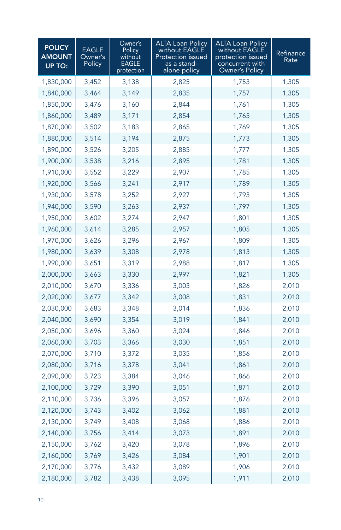| <b>POLICY</b><br><b>AMOUNT</b><br><b>UP TO:</b> | <b>EAGLE</b><br>Owner's<br>Policy | Owner's<br><b>Policy</b><br>without<br>EAGLE<br>protection | <b>ALTA Loan Policy</b><br>without EAGLE<br>Protection issued<br>as a stand-<br>alone policy | <b>ALTA Loan Policy</b><br>without EAGLE<br>protection issued<br>concurrent with<br><b>Owner's Policy</b> | Refinance<br>Rate |
|-------------------------------------------------|-----------------------------------|------------------------------------------------------------|----------------------------------------------------------------------------------------------|-----------------------------------------------------------------------------------------------------------|-------------------|
| 1,830,000                                       | 3,452                             | 3,138                                                      | 2,825                                                                                        | 1,753                                                                                                     | 1,305             |
| 1,840,000                                       | 3,464                             | 3,149                                                      | 2,835                                                                                        | 1,757                                                                                                     | 1,305             |
| 1,850,000                                       | 3,476                             | 3,160                                                      | 2,844                                                                                        | 1,761                                                                                                     | 1,305             |
| 1,860,000                                       | 3,489                             | 3,171                                                      | 2,854                                                                                        | 1,765                                                                                                     | 1,305             |
| 1,870,000                                       | 3,502                             | 3,183                                                      | 2,865                                                                                        | 1,769                                                                                                     | 1,305             |
| 1,880,000                                       | 3,514                             | 3,194                                                      | 2,875                                                                                        | 1,773                                                                                                     | 1,305             |
| 1,890,000                                       | 3,526                             | 3,205                                                      | 2,885                                                                                        | 1,777                                                                                                     | 1,305             |
| 1,900,000                                       | 3,538                             | 3,216                                                      | 2,895                                                                                        | 1,781                                                                                                     | 1,305             |
| 1,910,000                                       | 3,552                             | 3,229                                                      | 2,907                                                                                        | 1,785                                                                                                     | 1,305             |
| 1,920,000                                       | 3,566                             | 3,241                                                      | 2,917                                                                                        | 1,789                                                                                                     | 1,305             |
| 1,930,000                                       | 3,578                             | 3,252                                                      | 2,927                                                                                        | 1,793                                                                                                     | 1,305             |
| 1,940,000                                       | 3,590                             | 3,263                                                      | 2,937                                                                                        | 1,797                                                                                                     | 1,305             |
| 1,950,000                                       | 3,602                             | 3,274                                                      | 2,947                                                                                        | 1,801                                                                                                     | 1,305             |
| 1,960,000                                       | 3,614                             | 3,285                                                      | 2,957                                                                                        | 1,805                                                                                                     | 1,305             |
| 1,970,000                                       | 3,626                             | 3,296                                                      | 2,967                                                                                        | 1,809                                                                                                     | 1,305             |
| 1,980,000                                       | 3,639                             | 3,308                                                      | 2,978                                                                                        | 1,813                                                                                                     | 1,305             |
| 1,990,000                                       | 3,651                             | 3,319                                                      | 2,988                                                                                        | 1,817                                                                                                     | 1,305             |
| 2,000,000                                       | 3,663                             | 3,330                                                      | 2,997                                                                                        | 1,821                                                                                                     | 1,305             |
| 2,010,000                                       | 3,670                             | 3,336                                                      | 3,003                                                                                        | 1,826                                                                                                     | 2,010             |
| 2,020,000                                       | 3,677                             | 3,342                                                      | 3,008                                                                                        | 1,831                                                                                                     | 2,010             |
| 2,030,000                                       | 3,683                             | 3,348                                                      | 3,014                                                                                        | 1,836                                                                                                     | 2,010             |
| 2,040,000                                       | 3,690                             | 3,354                                                      | 3,019                                                                                        | 1,841                                                                                                     | 2,010             |
| 2,050,000                                       | 3,696                             | 3,360                                                      | 3,024                                                                                        | 1,846                                                                                                     | 2,010             |
| 2,060,000                                       | 3,703                             | 3,366                                                      | 3,030                                                                                        | 1,851                                                                                                     | 2,010             |
| 2,070,000                                       | 3,710                             | 3,372                                                      | 3,035                                                                                        | 1,856                                                                                                     | 2,010             |
| 2,080,000                                       | 3,716                             | 3,378                                                      | 3,041                                                                                        | 1,861                                                                                                     | 2,010             |
| 2,090,000                                       | 3,723                             | 3,384                                                      | 3,046                                                                                        | 1,866                                                                                                     | 2,010             |
| 2,100,000                                       | 3,729                             | 3,390                                                      | 3,051                                                                                        | 1,871                                                                                                     | 2,010             |
| 2,110,000                                       | 3,736                             | 3,396                                                      | 3,057                                                                                        | 1,876                                                                                                     | 2,010             |
| 2,120,000                                       | 3,743                             | 3,402                                                      | 3,062                                                                                        | 1,881                                                                                                     | 2,010             |
| 2,130,000                                       | 3,749                             | 3,408                                                      | 3,068                                                                                        | 1,886                                                                                                     | 2,010             |
| 2,140,000                                       | 3,756                             | 3,414                                                      | 3,073                                                                                        | 1,891                                                                                                     | 2,010             |
| 2,150,000                                       | 3,762                             | 3,420                                                      | 3,078                                                                                        | 1,896                                                                                                     | 2,010             |
| 2,160,000                                       | 3,769                             | 3,426                                                      | 3,084                                                                                        | 1,901                                                                                                     | 2,010             |
| 2,170,000                                       | 3,776                             | 3,432                                                      | 3,089                                                                                        | 1,906                                                                                                     | 2,010             |
| 2,180,000                                       | 3,782                             | 3,438                                                      | 3,095                                                                                        | 1,911                                                                                                     | 2,010             |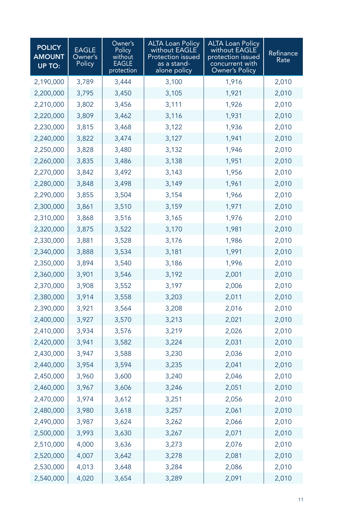| <b>POLICY</b><br><b>AMOUNT</b><br>UP TO: | <b>EAGLE</b><br>Owner's<br>Policy | Owner's<br>Policy<br>without<br>EAGLE<br>protection | <b>ALTA Loan Policy</b><br>without EAGLE<br>Protection issued<br>as a stand-<br>alone policy | <b>ALTA Loan Policy</b><br>without EAGLE<br>protection issued<br>concurrent with<br>Owner's Policy | Refinance<br>Rate |
|------------------------------------------|-----------------------------------|-----------------------------------------------------|----------------------------------------------------------------------------------------------|----------------------------------------------------------------------------------------------------|-------------------|
| 2,190,000                                | 3,789                             | 3,444                                               | 3,100                                                                                        | 1,916                                                                                              | 2,010             |
| 2,200,000                                | 3,795                             | 3,450                                               | 3,105                                                                                        | 1,921                                                                                              | 2,010             |
| 2,210,000                                | 3,802                             | 3,456                                               | 3,111                                                                                        | 1,926                                                                                              | 2,010             |
| 2,220,000                                | 3,809                             | 3,462                                               | 3,116                                                                                        | 1,931                                                                                              | 2,010             |
| 2,230,000                                | 3,815                             | 3,468                                               | 3,122                                                                                        | 1,936                                                                                              | 2,010             |
| 2,240,000                                | 3,822                             | 3,474                                               | 3,127                                                                                        | 1,941                                                                                              | 2,010             |
| 2,250,000                                | 3,828                             | 3,480                                               | 3,132                                                                                        | 1,946                                                                                              | 2,010             |
| 2,260,000                                | 3,835                             | 3,486                                               | 3,138                                                                                        | 1,951                                                                                              | 2,010             |
| 2,270,000                                | 3,842                             | 3,492                                               | 3,143                                                                                        | 1,956                                                                                              | 2,010             |
| 2,280,000                                | 3,848                             | 3,498                                               | 3,149                                                                                        | 1,961                                                                                              | 2,010             |
| 2,290,000                                | 3,855                             | 3,504                                               | 3,154                                                                                        | 1,966                                                                                              | 2,010             |
| 2,300,000                                | 3,861                             | 3,510                                               | 3,159                                                                                        | 1,971                                                                                              | 2,010             |
| 2,310,000                                | 3,868                             | 3,516                                               | 3,165                                                                                        | 1,976                                                                                              | 2,010             |
| 2,320,000                                | 3,875                             | 3,522                                               | 3,170                                                                                        | 1,981                                                                                              | 2,010             |
| 2,330,000                                | 3,881                             | 3,528                                               | 3,176                                                                                        | 1,986                                                                                              | 2,010             |
| 2,340,000                                | 3,888                             | 3,534                                               | 3,181                                                                                        | 1,991                                                                                              | 2,010             |
| 2,350,000                                | 3,894                             | 3,540                                               | 3,186                                                                                        | 1,996                                                                                              | 2,010             |
| 2,360,000                                | 3,901                             | 3,546                                               | 3,192                                                                                        | 2,001                                                                                              | 2,010             |
| 2,370,000                                | 3,908                             | 3,552                                               | 3,197                                                                                        | 2,006                                                                                              | 2,010             |
| 2,380,000                                | 3,914                             | 3,558                                               | 3,203                                                                                        | 2,011                                                                                              | 2,010             |
| 2,390,000                                | 3,921                             | 3,564                                               | 3,208                                                                                        | 2,016                                                                                              | 2,010             |
| 2,400,000                                | 3,927                             | 3,570                                               | 3,213                                                                                        | 2,021                                                                                              | 2,010             |
| 2,410,000                                | 3,934                             | 3,576                                               | 3,219                                                                                        | 2,026                                                                                              | 2,010             |
| 2,420,000                                | 3,941                             | 3,582                                               | 3,224                                                                                        | 2,031                                                                                              | 2,010             |
| 2,430,000                                | 3,947                             | 3,588                                               | 3,230                                                                                        | 2,036                                                                                              | 2,010             |
| 2,440,000                                | 3,954                             | 3,594                                               | 3,235                                                                                        | 2,041                                                                                              | 2,010             |
| 2,450,000                                | 3,960                             | 3,600                                               | 3,240                                                                                        | 2,046                                                                                              | 2,010             |
| 2,460,000                                | 3,967                             | 3,606                                               | 3,246                                                                                        | 2,051                                                                                              | 2,010             |
| 2,470,000                                | 3,974                             | 3,612                                               | 3,251                                                                                        | 2,056                                                                                              | 2,010             |
| 2,480,000                                | 3,980                             | 3,618                                               | 3,257                                                                                        | 2,061                                                                                              | 2,010             |
| 2,490,000                                | 3,987                             | 3,624                                               | 3,262                                                                                        | 2,066                                                                                              | 2,010             |
| 2,500,000                                | 3,993                             | 3,630                                               | 3,267                                                                                        | 2,071                                                                                              | 2,010             |
| 2,510,000                                | 4,000                             | 3,636                                               | 3,273                                                                                        | 2,076                                                                                              | 2,010             |
| 2,520,000                                | 4,007                             | 3,642                                               | 3,278                                                                                        | 2,081                                                                                              | 2,010             |
| 2,530,000                                | 4,013                             | 3,648                                               | 3,284                                                                                        | 2,086                                                                                              | 2,010             |
| 2,540,000                                | 4,020                             | 3,654                                               | 3,289                                                                                        | 2,091                                                                                              | 2,010             |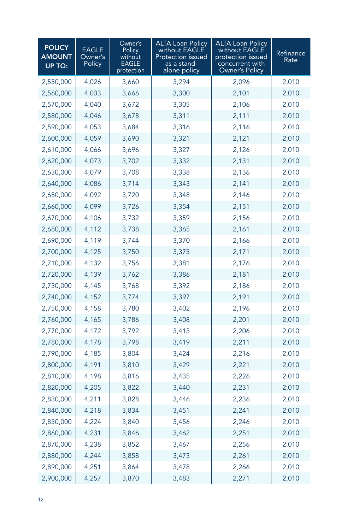| <b>POLICY</b><br><b>AMOUNT</b><br>UP TO: | <b>EAGLE</b><br>Owner's<br>Policy | Owner's<br>Policy<br>without<br>EAGLE<br>protection | <b>ALTA Loan Policy</b><br>without EAGLE<br>Protection issued<br>as a stand-<br>alone policy | <b>ALTA Loan Policy</b><br>without EAGLE<br>protection issued<br>concurrent with<br>Owner's Policy | Refinance<br>Rate |
|------------------------------------------|-----------------------------------|-----------------------------------------------------|----------------------------------------------------------------------------------------------|----------------------------------------------------------------------------------------------------|-------------------|
| 2,550,000                                | 4,026                             | 3,660                                               | 3,294                                                                                        | 2,096                                                                                              | 2,010             |
| 2,560,000                                | 4,033                             | 3,666                                               | 3,300                                                                                        | 2,101                                                                                              | 2,010             |
| 2,570,000                                | 4,040                             | 3,672                                               | 3,305                                                                                        | 2,106                                                                                              | 2,010             |
| 2,580,000                                | 4,046                             | 3,678                                               | 3,311                                                                                        | 2,111                                                                                              | 2,010             |
| 2,590,000                                | 4,053                             | 3,684                                               | 3,316                                                                                        | 2,116                                                                                              | 2,010             |
| 2,600,000                                | 4,059                             | 3,690                                               | 3,321                                                                                        | 2,121                                                                                              | 2,010             |
| 2,610,000                                | 4,066                             | 3,696                                               | 3,327                                                                                        | 2,126                                                                                              | 2,010             |
| 2,620,000                                | 4,073                             | 3,702                                               | 3,332                                                                                        | 2,131                                                                                              | 2,010             |
| 2,630,000                                | 4,079                             | 3,708                                               | 3,338                                                                                        | 2,136                                                                                              | 2,010             |
| 2,640,000                                | 4,086                             | 3,714                                               | 3,343                                                                                        | 2,141                                                                                              | 2,010             |
| 2,650,000                                | 4,092                             | 3,720                                               | 3,348                                                                                        | 2,146                                                                                              | 2,010             |
| 2,660,000                                | 4,099                             | 3,726                                               | 3,354                                                                                        | 2,151                                                                                              | 2,010             |
| 2,670,000                                | 4,106                             | 3,732                                               | 3,359                                                                                        | 2,156                                                                                              | 2,010             |
| 2,680,000                                | 4,112                             | 3,738                                               | 3,365                                                                                        | 2,161                                                                                              | 2,010             |
| 2,690,000                                | 4,119                             | 3,744                                               | 3,370                                                                                        | 2,166                                                                                              | 2,010             |
| 2,700,000                                | 4,125                             | 3,750                                               | 3,375                                                                                        | 2,171                                                                                              | 2,010             |
| 2,710,000                                | 4,132                             | 3,756                                               | 3,381                                                                                        | 2,176                                                                                              | 2,010             |
| 2,720,000                                | 4,139                             | 3,762                                               | 3,386                                                                                        | 2,181                                                                                              | 2,010             |
| 2,730,000                                | 4,145                             | 3,768                                               | 3,392                                                                                        | 2,186                                                                                              | 2,010             |
| 2,740,000                                | 4,152                             | 3,774                                               | 3,397                                                                                        | 2,191                                                                                              | 2,010             |
| 2,750,000                                | 4,158                             | 3,780                                               | 3,402                                                                                        | 2,196                                                                                              | 2,010             |
| 2,760,000                                | 4,165                             | 3,786                                               | 3,408                                                                                        | 2,201                                                                                              | 2,010             |
| 2,770,000                                | 4,172                             | 3,792                                               | 3,413                                                                                        | 2,206                                                                                              | 2,010             |
| 2,780,000                                | 4,178                             | 3,798                                               | 3,419                                                                                        | 2,211                                                                                              | 2,010             |
| 2,790,000                                | 4,185                             | 3,804                                               | 3,424                                                                                        | 2,216                                                                                              | 2,010             |
| 2,800,000                                | 4,191                             | 3,810                                               | 3,429                                                                                        | 2,221                                                                                              | 2,010             |
| 2,810,000                                | 4,198                             | 3,816                                               | 3,435                                                                                        | 2,226                                                                                              | 2,010             |
| 2,820,000                                | 4,205                             | 3,822                                               | 3,440                                                                                        | 2,231                                                                                              | 2,010             |
| 2,830,000                                | 4,211                             | 3,828                                               | 3,446                                                                                        | 2,236                                                                                              | 2,010             |
| 2,840,000                                | 4,218                             | 3,834                                               | 3,451                                                                                        | 2,241                                                                                              | 2,010             |
| 2,850,000                                | 4,224                             | 3,840                                               | 3,456                                                                                        | 2,246                                                                                              | 2,010             |
| 2,860,000                                | 4,231                             | 3,846                                               | 3,462                                                                                        | 2,251                                                                                              | 2,010             |
| 2,870,000                                | 4,238                             | 3,852                                               | 3,467                                                                                        | 2,256                                                                                              | 2,010             |
| 2,880,000                                | 4,244                             | 3,858                                               | 3,473                                                                                        | 2,261                                                                                              | 2,010             |
| 2,890,000                                | 4,251                             | 3,864                                               | 3,478                                                                                        | 2,266                                                                                              | 2,010             |
| 2,900,000                                | 4,257                             | 3,870                                               | 3,483                                                                                        | 2,271                                                                                              | 2,010             |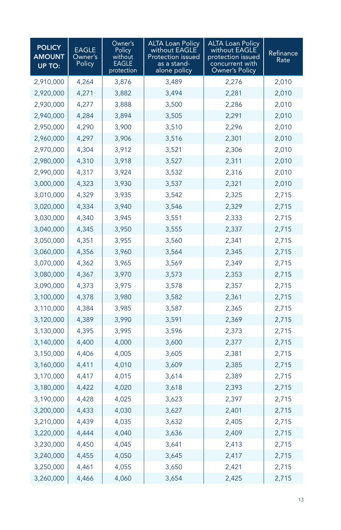| <b>POLICY</b><br><b>AMOUNT</b><br><b>UP TO:</b> | <b>EAGLE</b><br>Owner's<br>Policy | Owner's<br>Policy<br>without<br>EAGLE<br>protection | <b>ALTA Loan Policy</b><br>without EAGLE<br>Protection issued<br>as a stand-<br>alone policy | <b>ALTA Loan Policy</b><br>without EAGLE<br>protection issued<br>concurrent with<br>Owner's Policy | Refinance<br>Rate |
|-------------------------------------------------|-----------------------------------|-----------------------------------------------------|----------------------------------------------------------------------------------------------|----------------------------------------------------------------------------------------------------|-------------------|
| 2,910,000                                       | 4,264                             | 3,876                                               | 3,489                                                                                        | 2,276                                                                                              | 2,010             |
| 2,920,000                                       | 4,271                             | 3,882                                               | 3,494                                                                                        | 2,281                                                                                              | 2,010             |
| 2,930,000                                       | 4,277                             | 3,888                                               | 3,500                                                                                        | 2,286                                                                                              | 2,010             |
| 2,940,000                                       | 4,284                             | 3,894                                               | 3,505                                                                                        | 2,291                                                                                              | 2,010             |
| 2,950,000                                       | 4,290                             | 3,900                                               | 3,510                                                                                        | 2,296                                                                                              | 2,010             |
| 2,960,000                                       | 4,297                             | 3,906                                               | 3,516                                                                                        | 2,301                                                                                              | 2,010             |
| 2,970,000                                       | 4,304                             | 3,912                                               | 3,521                                                                                        | 2,306                                                                                              | 2,010             |
| 2,980,000                                       | 4,310                             | 3,918                                               | 3,527                                                                                        | 2,311                                                                                              | 2,010             |
| 2,990,000                                       | 4,317                             | 3,924                                               | 3,532                                                                                        | 2,316                                                                                              | 2,010             |
| 3,000,000                                       | 4,323                             | 3,930                                               | 3,537                                                                                        | 2,321                                                                                              | 2,010             |
| 3,010,000                                       | 4,329                             | 3,935                                               | 3,542                                                                                        | 2,325                                                                                              | 2,715             |
| 3,020,000                                       | 4,334                             | 3,940                                               | 3,546                                                                                        | 2,329                                                                                              | 2,715             |
| 3,030,000                                       | 4,340                             | 3,945                                               | 3,551                                                                                        | 2,333                                                                                              | 2,715             |
| 3,040,000                                       | 4,345                             | 3,950                                               | 3,555                                                                                        | 2,337                                                                                              | 2,715             |
| 3,050,000                                       | 4,351                             | 3,955                                               | 3,560                                                                                        | 2,341                                                                                              | 2,715             |
| 3,060,000                                       | 4,356                             | 3,960                                               | 3,564                                                                                        | 2,345                                                                                              | 2,715             |
| 3,070,000                                       | 4,362                             | 3,965                                               | 3,569                                                                                        | 2,349                                                                                              | 2,715             |
| 3,080,000                                       | 4,367                             | 3,970                                               | 3,573                                                                                        | 2,353                                                                                              | 2,715             |
| 3,090,000                                       | 4,373                             | 3,975                                               | 3,578                                                                                        | 2,357                                                                                              | 2,715             |
| 3,100,000                                       | 4,378                             | 3,980                                               | 3,582                                                                                        | 2,361                                                                                              | 2,715             |
| 3,110,000                                       | 4,384                             | 3,985                                               | 3,587                                                                                        | 2,365                                                                                              | 2,715             |
| 3,120,000                                       | 4,389                             | 3,990                                               | 3,591                                                                                        | 2,369                                                                                              | 2,715             |
| 3,130,000                                       | 4,395                             | 3,995                                               | 3,596                                                                                        | 2,373                                                                                              | 2,715             |
| 3,140,000                                       | 4,400                             | 4,000                                               | 3,600                                                                                        | 2,377                                                                                              | 2,715             |
| 3,150,000                                       | 4,406                             | 4,005                                               | 3,605                                                                                        | 2,381                                                                                              | 2,715             |
| 3,160,000                                       | 4,411                             | 4,010                                               | 3,609                                                                                        | 2,385                                                                                              | 2,715             |
| 3,170,000                                       | 4,417                             | 4,015                                               | 3,614                                                                                        | 2,389                                                                                              | 2,715             |
| 3,180,000                                       | 4,422                             | 4,020                                               | 3,618                                                                                        | 2,393                                                                                              | 2,715             |
| 3,190,000                                       | 4,428                             | 4,025                                               | 3,623                                                                                        | 2,397                                                                                              | 2,715             |
| 3,200,000                                       | 4,433                             | 4,030                                               | 3,627                                                                                        | 2,401                                                                                              | 2,715             |
| 3,210,000                                       | 4,439                             | 4,035                                               | 3,632                                                                                        | 2,405                                                                                              | 2,715             |
| 3,220,000                                       | 4,444                             | 4,040                                               | 3,636                                                                                        | 2,409                                                                                              | 2,715             |
| 3,230,000                                       | 4,450                             | 4,045                                               | 3,641                                                                                        | 2,413                                                                                              | 2,715             |
| 3,240,000                                       | 4,455                             | 4,050                                               | 3,645                                                                                        | 2,417                                                                                              | 2,715             |
| 3,250,000                                       | 4,461                             | 4,055                                               | 3,650                                                                                        | 2,421                                                                                              | 2,715             |
| 3,260,000                                       | 4,466                             | 4,060                                               | 3,654                                                                                        | 2,425                                                                                              | 2,715             |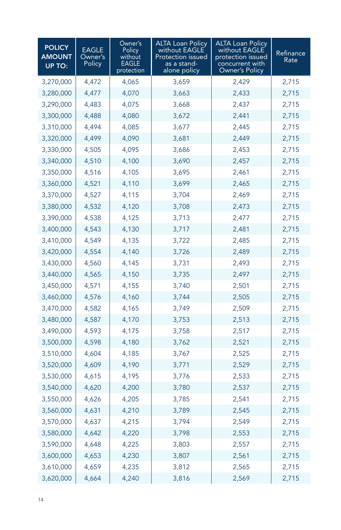| <b>POLICY</b><br><b>AMOUNT</b><br>UP TO: | <b>EAGLE</b><br>Owner's<br>Policy | Owner's<br>Policy<br>without<br>EAGLE<br>protection | <b>ALTA Loan Policy</b><br>without EAGLE<br><b>Protection issued</b><br>as a stand-<br>alone policy | <b>ALTA Loan Policy</b><br>without EAGLE<br>protection issued<br>concurrent with<br>Owner's Policy | Refinance<br>Rate |
|------------------------------------------|-----------------------------------|-----------------------------------------------------|-----------------------------------------------------------------------------------------------------|----------------------------------------------------------------------------------------------------|-------------------|
| 3,270,000                                | 4,472                             | 4,065                                               | 3,659                                                                                               | 2,429                                                                                              | 2,715             |
| 3,280,000                                | 4,477                             | 4,070                                               | 3,663                                                                                               | 2,433                                                                                              | 2,715             |
| 3,290,000                                | 4,483                             | 4,075                                               | 3,668                                                                                               | 2,437                                                                                              | 2,715             |
| 3,300,000                                | 4,488                             | 4,080                                               | 3,672                                                                                               | 2,441                                                                                              | 2,715             |
| 3,310,000                                | 4,494                             | 4,085                                               | 3,677                                                                                               | 2,445                                                                                              | 2,715             |
| 3,320,000                                | 4,499                             | 4,090                                               | 3,681                                                                                               | 2,449                                                                                              | 2,715             |
| 3,330,000                                | 4,505                             | 4,095                                               | 3,686                                                                                               | 2,453                                                                                              | 2,715             |
| 3,340,000                                | 4,510                             | 4,100                                               | 3,690                                                                                               | 2,457                                                                                              | 2,715             |
| 3,350,000                                | 4,516                             | 4,105                                               | 3,695                                                                                               | 2,461                                                                                              | 2,715             |
| 3,360,000                                | 4,521                             | 4,110                                               | 3,699                                                                                               | 2,465                                                                                              | 2,715             |
| 3,370,000                                | 4,527                             | 4,115                                               | 3,704                                                                                               | 2,469                                                                                              | 2,715             |
| 3,380,000                                | 4,532                             | 4,120                                               | 3,708                                                                                               | 2,473                                                                                              | 2,715             |
| 3,390,000                                | 4,538                             | 4,125                                               | 3,713                                                                                               | 2,477                                                                                              | 2,715             |
| 3,400,000                                | 4,543                             | 4,130                                               | 3,717                                                                                               | 2,481                                                                                              | 2,715             |
| 3,410,000                                | 4,549                             | 4,135                                               | 3,722                                                                                               | 2,485                                                                                              | 2,715             |
| 3,420,000                                | 4,554                             | 4,140                                               | 3,726                                                                                               | 2,489                                                                                              | 2,715             |
| 3,430,000                                | 4,560                             | 4,145                                               | 3,731                                                                                               | 2,493                                                                                              | 2,715             |
| 3,440,000                                | 4,565                             | 4,150                                               | 3,735                                                                                               | 2,497                                                                                              | 2,715             |
| 3,450,000                                | 4,571                             | 4,155                                               | 3,740                                                                                               | 2,501                                                                                              | 2,715             |
| 3,460,000                                | 4,576                             | 4,160                                               | 3,744                                                                                               | 2,505                                                                                              | 2,715             |
| 3,470,000                                | 4,582                             | 4,165                                               | 3,749                                                                                               | 2,509                                                                                              | 2,715             |
| 3,480,000                                | 4,587                             | 4,170                                               | 3,753                                                                                               | 2,513                                                                                              | 2,715             |
| 3,490,000                                | 4,593                             | 4,175                                               | 3,758                                                                                               | 2,517                                                                                              | 2,715             |
| 3,500,000                                | 4,598                             | 4,180                                               | 3,762                                                                                               | 2,521                                                                                              | 2,715             |
| 3,510,000                                | 4,604                             | 4,185                                               | 3,767                                                                                               | 2,525                                                                                              | 2,715             |
| 3,520,000                                | 4,609                             | 4,190                                               | 3,771                                                                                               | 2,529                                                                                              | 2,715             |
| 3,530,000                                | 4,615                             | 4,195                                               | 3,776                                                                                               | 2,533                                                                                              | 2,715             |
| 3,540,000                                | 4,620                             | 4,200                                               | 3,780                                                                                               | 2,537                                                                                              | 2,715             |
| 3,550,000                                | 4,626                             | 4,205                                               | 3,785                                                                                               | 2,541                                                                                              | 2,715             |
| 3,560,000                                | 4,631                             | 4,210                                               | 3,789                                                                                               | 2,545                                                                                              | 2,715             |
| 3,570,000                                | 4,637                             | 4,215                                               | 3,794                                                                                               | 2,549                                                                                              | 2,715             |
| 3,580,000                                | 4,642                             | 4,220                                               | 3,798                                                                                               | 2,553                                                                                              | 2,715             |
| 3,590,000                                | 4,648                             | 4,225                                               | 3,803                                                                                               | 2,557                                                                                              | 2,715             |
| 3,600,000                                | 4,653                             | 4,230                                               | 3,807                                                                                               | 2,561                                                                                              | 2,715             |
| 3,610,000                                | 4,659                             | 4,235                                               | 3,812                                                                                               | 2,565                                                                                              | 2,715             |
| 3,620,000                                | 4,664                             | 4,240                                               | 3,816                                                                                               | 2,569                                                                                              | 2,715             |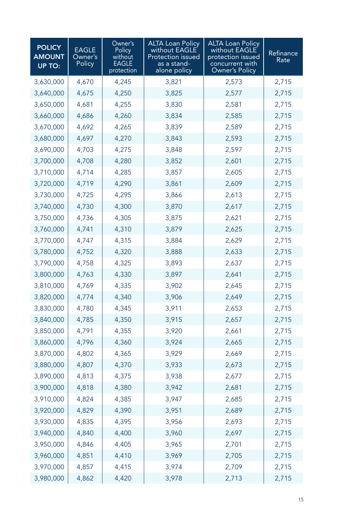| <b>POLICY</b><br><b>AMOUNT</b><br><b>UP TO:</b> | <b>EAGLE</b><br>Owner's<br>Policy | Owner's<br>Policy<br>without<br>EAGLE<br>protection | <b>ALTA Loan Policy</b><br>without EAGLE<br>Protection issued<br>as a stand-<br>alone policy | <b>ALTA Loan Policy</b><br>without EAGLE<br>protection issued<br>concurrent with<br>Owner's Policy | Refinance<br>Rate |
|-------------------------------------------------|-----------------------------------|-----------------------------------------------------|----------------------------------------------------------------------------------------------|----------------------------------------------------------------------------------------------------|-------------------|
| 3,630,000                                       | 4,670                             | 4,245                                               | 3,821                                                                                        | 2,573                                                                                              | 2,715             |
| 3,640,000                                       | 4,675                             | 4,250                                               | 3,825                                                                                        | 2,577                                                                                              | 2,715             |
| 3,650,000                                       | 4,681                             | 4,255                                               | 3,830                                                                                        | 2,581                                                                                              | 2,715             |
| 3,660,000                                       | 4,686                             | 4,260                                               | 3,834                                                                                        | 2,585                                                                                              | 2,715             |
| 3,670,000                                       | 4,692                             | 4,265                                               | 3,839                                                                                        | 2,589                                                                                              | 2,715             |
| 3,680,000                                       | 4,697                             | 4,270                                               | 3,843                                                                                        | 2,593                                                                                              | 2,715             |
| 3,690,000                                       | 4,703                             | 4,275                                               | 3,848                                                                                        | 2,597                                                                                              | 2,715             |
| 3,700,000                                       | 4,708                             | 4,280                                               | 3,852                                                                                        | 2,601                                                                                              | 2,715             |
| 3,710,000                                       | 4,714                             | 4,285                                               | 3,857                                                                                        | 2,605                                                                                              | 2,715             |
| 3,720,000                                       | 4,719                             | 4,290                                               | 3,861                                                                                        | 2,609                                                                                              | 2,715             |
| 3,730,000                                       | 4,725                             | 4,295                                               | 3,866                                                                                        | 2,613                                                                                              | 2,715             |
| 3,740,000                                       | 4,730                             | 4,300                                               | 3,870                                                                                        | 2,617                                                                                              | 2,715             |
| 3,750,000                                       | 4,736                             | 4,305                                               | 3,875                                                                                        | 2,621                                                                                              | 2,715             |
| 3,760,000                                       | 4,741                             | 4,310                                               | 3,879                                                                                        | 2,625                                                                                              | 2,715             |
| 3,770,000                                       | 4,747                             | 4,315                                               | 3,884                                                                                        | 2,629                                                                                              | 2,715             |
| 3,780,000                                       | 4,752                             | 4,320                                               | 3,888                                                                                        | 2,633                                                                                              | 2,715             |
| 3,790,000                                       | 4,758                             | 4,325                                               | 3,893                                                                                        | 2,637                                                                                              | 2,715             |
| 3,800,000                                       | 4,763                             | 4,330                                               | 3,897                                                                                        | 2,641                                                                                              | 2,715             |
| 3,810,000                                       | 4,769                             | 4,335                                               | 3,902                                                                                        | 2,645                                                                                              | 2,715             |
| 3,820,000                                       | 4,774                             | 4,340                                               | 3,906                                                                                        | 2,649                                                                                              | 2,715             |
| 3,830,000                                       | 4,780                             | 4,345                                               | 3,911                                                                                        | 2,653                                                                                              | 2,715             |
| 3,840,000                                       | 4,785                             | 4,350                                               | 3,915                                                                                        | 2,657                                                                                              | 2,715             |
| 3,850,000                                       | 4,791                             | 4,355                                               | 3,920                                                                                        | 2,661                                                                                              | 2,715             |
| 3,860,000                                       | 4,796                             | 4,360                                               | 3,924                                                                                        | 2,665                                                                                              | 2,715             |
| 3,870,000                                       | 4,802                             | 4,365                                               | 3,929                                                                                        | 2,669                                                                                              | 2,715             |
| 3,880,000                                       | 4,807                             | 4,370                                               | 3,933                                                                                        | 2,673                                                                                              | 2,715             |
| 3,890,000                                       | 4,813                             | 4,375                                               | 3,938                                                                                        | 2,677                                                                                              | 2,715             |
| 3,900,000                                       | 4,818                             | 4,380                                               | 3,942                                                                                        | 2,681                                                                                              | 2,715             |
| 3,910,000                                       | 4,824                             | 4,385                                               | 3,947                                                                                        | 2,685                                                                                              | 2,715             |
| 3,920,000                                       | 4,829                             | 4,390                                               | 3,951                                                                                        | 2,689                                                                                              | 2,715             |
| 3,930,000                                       | 4,835                             | 4,395                                               | 3,956                                                                                        | 2,693                                                                                              | 2,715             |
| 3,940,000                                       | 4,840                             | 4,400                                               | 3,960                                                                                        | 2,697                                                                                              | 2,715             |
| 3,950,000                                       | 4,846                             | 4,405                                               | 3,965                                                                                        | 2,701                                                                                              | 2,715             |
| 3,960,000                                       | 4,851                             | 4,410                                               | 3,969                                                                                        | 2,705                                                                                              | 2,715             |
| 3,970,000                                       | 4,857                             | 4,415                                               | 3,974                                                                                        | 2,709                                                                                              | 2,715             |
| 3,980,000                                       | 4,862                             | 4,420                                               | 3,978                                                                                        | 2,713                                                                                              | 2,715             |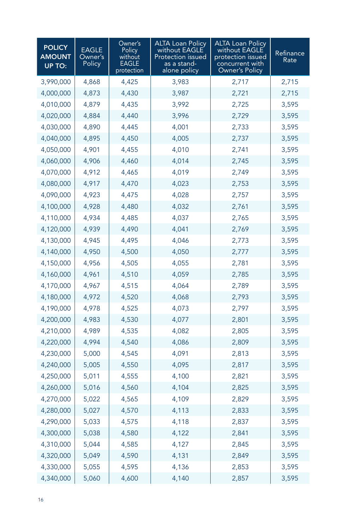| <b>POLICY</b><br><b>AMOUNT</b><br>UP TO: | <b>EAGLE</b><br>Owner's<br>Policy | Owner's<br>Policy<br>without<br><b>EAGLE</b><br>protection | <b>ALTA Loan Policy</b><br>without EAGLE<br>Protection issued<br>as a stand-<br>alone policy | <b>ALTA Loan Policy</b><br>without EAGLE<br>protection issued<br>concurrent with<br>Owner's Policy | Refinance<br>Rate |
|------------------------------------------|-----------------------------------|------------------------------------------------------------|----------------------------------------------------------------------------------------------|----------------------------------------------------------------------------------------------------|-------------------|
| 3,990,000                                | 4,868                             | 4,425                                                      | 3,983                                                                                        | 2,717                                                                                              | 2,715             |
| 4,000,000                                | 4,873                             | 4,430                                                      | 3,987                                                                                        | 2,721                                                                                              | 2,715             |
| 4,010,000                                | 4,879                             | 4,435                                                      | 3,992                                                                                        | 2,725                                                                                              | 3,595             |
| 4,020,000                                | 4,884                             | 4,440                                                      | 3,996                                                                                        | 2,729                                                                                              | 3,595             |
| 4,030,000                                | 4,890                             | 4,445                                                      | 4,001                                                                                        | 2,733                                                                                              | 3,595             |
| 4,040,000                                | 4,895                             | 4,450                                                      | 4,005                                                                                        | 2,737                                                                                              | 3,595             |
| 4,050,000                                | 4,901                             | 4,455                                                      | 4,010                                                                                        | 2,741                                                                                              | 3,595             |
| 4,060,000                                | 4,906                             | 4,460                                                      | 4,014                                                                                        | 2,745                                                                                              | 3,595             |
| 4,070,000                                | 4,912                             | 4,465                                                      | 4,019                                                                                        | 2,749                                                                                              | 3,595             |
| 4,080,000                                | 4,917                             | 4,470                                                      | 4,023                                                                                        | 2,753                                                                                              | 3,595             |
| 4,090,000                                | 4,923                             | 4,475                                                      | 4,028                                                                                        | 2,757                                                                                              | 3,595             |
| 4,100,000                                | 4,928                             | 4,480                                                      | 4,032                                                                                        | 2,761                                                                                              | 3,595             |
| 4,110,000                                | 4,934                             | 4,485                                                      | 4,037                                                                                        | 2,765                                                                                              | 3,595             |
| 4,120,000                                | 4,939                             | 4,490                                                      | 4,041                                                                                        | 2,769                                                                                              | 3,595             |
| 4,130,000                                | 4,945                             | 4,495                                                      | 4,046                                                                                        | 2,773                                                                                              | 3,595             |
| 4,140,000                                | 4,950                             | 4,500                                                      | 4,050                                                                                        | 2,777                                                                                              | 3,595             |
| 4,150,000                                | 4,956                             | 4,505                                                      | 4,055                                                                                        | 2,781                                                                                              | 3,595             |
| 4,160,000                                | 4,961                             | 4,510                                                      | 4,059                                                                                        | 2,785                                                                                              | 3,595             |
| 4,170,000                                | 4,967                             | 4,515                                                      | 4,064                                                                                        | 2,789                                                                                              | 3,595             |
| 4,180,000                                | 4,972                             | 4,520                                                      | 4,068                                                                                        | 2,793                                                                                              | 3,595             |
| 4,190,000                                | 4,978                             | 4,525                                                      | 4,073                                                                                        | 2,797                                                                                              | 3,595             |
| 4,200,000                                | 4,983                             | 4,530                                                      | 4,077                                                                                        | 2,801                                                                                              | 3,595             |
| 4,210,000                                | 4,989                             | 4,535                                                      | 4,082                                                                                        | 2,805                                                                                              | 3,595             |
| 4,220,000                                | 4,994                             | 4,540                                                      | 4,086                                                                                        | 2,809                                                                                              | 3,595             |
| 4,230,000                                | 5,000                             | 4,545                                                      | 4,091                                                                                        | 2,813                                                                                              | 3,595             |
| 4,240,000                                | 5,005                             | 4,550                                                      | 4,095                                                                                        | 2,817                                                                                              | 3,595             |
| 4,250,000                                | 5,011                             | 4,555                                                      | 4,100                                                                                        | 2,821                                                                                              | 3,595             |
| 4,260,000                                | 5,016                             | 4,560                                                      | 4,104                                                                                        | 2,825                                                                                              | 3,595             |
| 4,270,000                                | 5,022                             | 4,565                                                      | 4,109                                                                                        | 2,829                                                                                              | 3,595             |
| 4,280,000                                | 5,027                             | 4,570                                                      | 4,113                                                                                        | 2,833                                                                                              | 3,595             |
| 4,290,000                                | 5,033                             | 4,575                                                      | 4,118                                                                                        | 2,837                                                                                              | 3,595             |
| 4,300,000                                | 5,038                             | 4,580                                                      | 4,122                                                                                        | 2,841                                                                                              | 3,595             |
| 4,310,000                                | 5,044                             | 4,585                                                      | 4,127                                                                                        | 2,845                                                                                              | 3,595             |
| 4,320,000                                | 5,049                             | 4,590                                                      | 4,131                                                                                        | 2,849                                                                                              | 3,595             |
| 4,330,000                                | 5,055                             | 4,595                                                      | 4,136                                                                                        | 2,853                                                                                              | 3,595             |
| 4,340,000                                | 5,060                             | 4,600                                                      | 4,140                                                                                        | 2,857                                                                                              | 3,595             |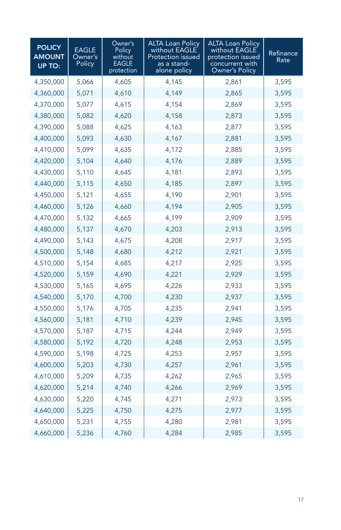| <b>POLICY</b><br><b>AMOUNT</b><br><b>UP TO:</b> | <b>EAGLE</b><br>Owner's<br>Policy | Owner's<br>Policy<br>without<br>EAGLE<br>protection | <b>ALTA Loan Policy</b><br>without EAGLE<br>Protection issued<br>as a stand-<br>alone policy | <b>ALTA Loan Policy</b><br>without EAGLE<br>protection issued<br>concurrent with<br>Owner's Policy | Refinance<br>Rate |
|-------------------------------------------------|-----------------------------------|-----------------------------------------------------|----------------------------------------------------------------------------------------------|----------------------------------------------------------------------------------------------------|-------------------|
| 4,350,000                                       | 5,066                             | 4,605                                               | 4,145                                                                                        | 2,861                                                                                              | 3,595             |
| 4,360,000                                       | 5,071                             | 4,610                                               | 4,149                                                                                        | 2,865                                                                                              | 3,595             |
| 4,370,000                                       | 5,077                             | 4,615                                               | 4,154                                                                                        | 2,869                                                                                              | 3,595             |
| 4,380,000                                       | 5,082                             | 4,620                                               | 4,158                                                                                        | 2,873                                                                                              | 3,595             |
| 4,390,000                                       | 5,088                             | 4,625                                               | 4,163                                                                                        | 2,877                                                                                              | 3,595             |
| 4,400,000                                       | 5,093                             | 4,630                                               | 4,167                                                                                        | 2,881                                                                                              | 3,595             |
| 4,410,000                                       | 5,099                             | 4,635                                               | 4,172                                                                                        | 2,885                                                                                              | 3,595             |
| 4,420,000                                       | 5,104                             | 4,640                                               | 4,176                                                                                        | 2,889                                                                                              | 3,595             |
| 4,430,000                                       | 5,110                             | 4,645                                               | 4,181                                                                                        | 2,893                                                                                              | 3,595             |
| 4,440,000                                       | 5,115                             | 4,650                                               | 4,185                                                                                        | 2,897                                                                                              | 3,595             |
| 4,450,000                                       | 5,121                             | 4,655                                               | 4,190                                                                                        | 2,901                                                                                              | 3,595             |
| 4,460,000                                       | 5,126                             | 4,660                                               | 4,194                                                                                        | 2,905                                                                                              | 3,595             |
| 4,470,000                                       | 5,132                             | 4,665                                               | 4,199                                                                                        | 2,909                                                                                              | 3,595             |
| 4,480,000                                       | 5,137                             | 4,670                                               | 4,203                                                                                        | 2,913                                                                                              | 3,595             |
| 4,490,000                                       | 5,143                             | 4,675                                               | 4,208                                                                                        | 2,917                                                                                              | 3,595             |
| 4,500,000                                       | 5,148                             | 4,680                                               | 4,212                                                                                        | 2,921                                                                                              | 3,595             |
| 4,510,000                                       | 5,154                             | 4,685                                               | 4,217                                                                                        | 2,925                                                                                              | 3,595             |
| 4,520,000                                       | 5,159                             | 4,690                                               | 4,221                                                                                        | 2,929                                                                                              | 3,595             |
| 4,530,000                                       | 5,165                             | 4,695                                               | 4,226                                                                                        | 2,933                                                                                              | 3,595             |
| 4,540,000                                       | 5,170                             | 4,700                                               | 4,230                                                                                        | 2,937                                                                                              | 3,595             |
| 4,550,000                                       | 5,176                             | 4,705                                               | 4,235                                                                                        | 2,941                                                                                              | 3,595             |
| 4,560,000                                       | 5,181                             | 4,710                                               | 4,239                                                                                        | 2,945                                                                                              | 3,595             |
| 4,570,000                                       | 5,187                             | 4,715                                               | 4,244                                                                                        | 2,949                                                                                              | 3,595             |
| 4,580,000                                       | 5,192                             | 4,720                                               | 4,248                                                                                        | 2,953                                                                                              | 3,595             |
| 4,590,000                                       | 5,198                             | 4,725                                               | 4,253                                                                                        | 2,957                                                                                              | 3,595             |
| 4,600,000                                       | 5,203                             | 4,730                                               | 4,257                                                                                        | 2,961                                                                                              | 3,595             |
| 4,610,000                                       | 5,209                             | 4,735                                               | 4,262                                                                                        | 2,965                                                                                              | 3,595             |
| 4,620,000                                       | 5,214                             | 4,740                                               | 4,266                                                                                        | 2,969                                                                                              | 3,595             |
| 4,630,000                                       | 5,220                             | 4,745                                               | 4,271                                                                                        | 2,973                                                                                              | 3,595             |
| 4,640,000                                       | 5,225                             | 4,750                                               | 4,275                                                                                        | 2,977                                                                                              | 3,595             |
| 4,650,000                                       | 5,231                             | 4,755                                               | 4,280                                                                                        | 2,981                                                                                              | 3,595             |
| 4,660,000                                       | 5,236                             | 4,760                                               | 4,284                                                                                        | 2,985                                                                                              | 3,595             |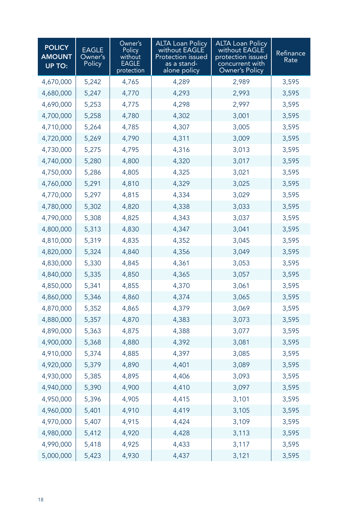| <b>POLICY</b><br><b>AMOUNT</b><br><b>UP TO:</b> | <b>EAGLE</b><br>Owner's<br>Policy | Owner's<br>Policy<br>without<br>EAGLE<br>protection | <b>ALTA Loan Policy</b><br>without EAGLE<br><b>Protection issued</b><br>as a stand-<br>alone policy | <b>ALTA Loan Policy</b><br>without EAGLE<br>protection issued<br>concurrent with<br><b>Owner's Policy</b> | Refinance<br>Rate |
|-------------------------------------------------|-----------------------------------|-----------------------------------------------------|-----------------------------------------------------------------------------------------------------|-----------------------------------------------------------------------------------------------------------|-------------------|
| 4,670,000                                       | 5,242                             | 4,765                                               | 4,289                                                                                               | 2,989                                                                                                     | 3,595             |
| 4,680,000                                       | 5,247                             | 4,770                                               | 4,293                                                                                               | 2,993                                                                                                     | 3,595             |
| 4,690,000                                       | 5,253                             | 4,775                                               | 4,298                                                                                               | 2,997                                                                                                     | 3,595             |
| 4,700,000                                       | 5,258                             | 4,780                                               | 4,302                                                                                               | 3,001                                                                                                     | 3,595             |
| 4,710,000                                       | 5,264                             | 4,785                                               | 4,307                                                                                               | 3,005                                                                                                     | 3,595             |
| 4,720,000                                       | 5,269                             | 4,790                                               | 4,311                                                                                               | 3,009                                                                                                     | 3,595             |
| 4,730,000                                       | 5,275                             | 4,795                                               | 4,316                                                                                               | 3,013                                                                                                     | 3,595             |
| 4,740,000                                       | 5,280                             | 4,800                                               | 4,320                                                                                               | 3,017                                                                                                     | 3,595             |
| 4,750,000                                       | 5,286                             | 4,805                                               | 4,325                                                                                               | 3,021                                                                                                     | 3,595             |
| 4,760,000                                       | 5,291                             | 4,810                                               | 4,329                                                                                               | 3,025                                                                                                     | 3,595             |
| 4,770,000                                       | 5,297                             | 4,815                                               | 4,334                                                                                               | 3,029                                                                                                     | 3,595             |
| 4,780,000                                       | 5,302                             | 4,820                                               | 4,338                                                                                               | 3,033                                                                                                     | 3,595             |
| 4,790,000                                       | 5,308                             | 4,825                                               | 4,343                                                                                               | 3,037                                                                                                     | 3,595             |
| 4,800,000                                       | 5,313                             | 4,830                                               | 4,347                                                                                               | 3,041                                                                                                     | 3,595             |
| 4,810,000                                       | 5,319                             | 4,835                                               | 4,352                                                                                               | 3,045                                                                                                     | 3,595             |
| 4,820,000                                       | 5,324                             | 4,840                                               | 4,356                                                                                               | 3,049                                                                                                     | 3,595             |
| 4,830,000                                       | 5,330                             | 4,845                                               | 4,361                                                                                               | 3,053                                                                                                     | 3,595             |
| 4,840,000                                       | 5,335                             | 4,850                                               | 4,365                                                                                               | 3,057                                                                                                     | 3,595             |
| 4,850,000                                       | 5,341                             | 4,855                                               | 4,370                                                                                               | 3,061                                                                                                     | 3,595             |
| 4,860,000                                       | 5,346                             | 4,860                                               | 4,374                                                                                               | 3,065                                                                                                     | 3,595             |
| 4,870,000                                       | 5,352                             | 4,865                                               | 4,379                                                                                               | 3,069                                                                                                     | 3,595             |
| 4,880,000                                       | 5,357                             | 4,870                                               | 4,383                                                                                               | 3,073                                                                                                     | 3,595             |
| 4,890,000                                       | 5,363                             | 4,875                                               | 4,388                                                                                               | 3,077                                                                                                     | 3,595             |
| 4,900,000                                       | 5,368                             | 4,880                                               | 4,392                                                                                               | 3,081                                                                                                     | 3,595             |
| 4,910,000                                       | 5,374                             | 4,885                                               | 4,397                                                                                               | 3,085                                                                                                     | 3,595             |
| 4,920,000                                       | 5,379                             | 4,890                                               | 4,401                                                                                               | 3,089                                                                                                     | 3,595             |
| 4,930,000                                       | 5,385                             | 4,895                                               | 4,406                                                                                               | 3,093                                                                                                     | 3,595             |
| 4,940,000                                       | 5,390                             | 4,900                                               | 4,410                                                                                               | 3,097                                                                                                     | 3,595             |
| 4,950,000                                       | 5,396                             | 4,905                                               | 4,415                                                                                               | 3,101                                                                                                     | 3,595             |
| 4,960,000                                       | 5,401                             | 4,910                                               | 4,419                                                                                               | 3,105                                                                                                     | 3,595             |
| 4,970,000                                       | 5,407                             | 4,915                                               | 4,424                                                                                               | 3,109                                                                                                     | 3,595             |
| 4,980,000                                       | 5,412                             | 4,920                                               | 4,428                                                                                               | 3,113                                                                                                     | 3,595             |
| 4,990,000                                       | 5,418                             | 4,925                                               | 4,433                                                                                               | 3,117                                                                                                     | 3,595             |
| 5,000,000                                       | 5,423                             | 4,930                                               | 4,437                                                                                               | 3,121                                                                                                     | 3,595             |